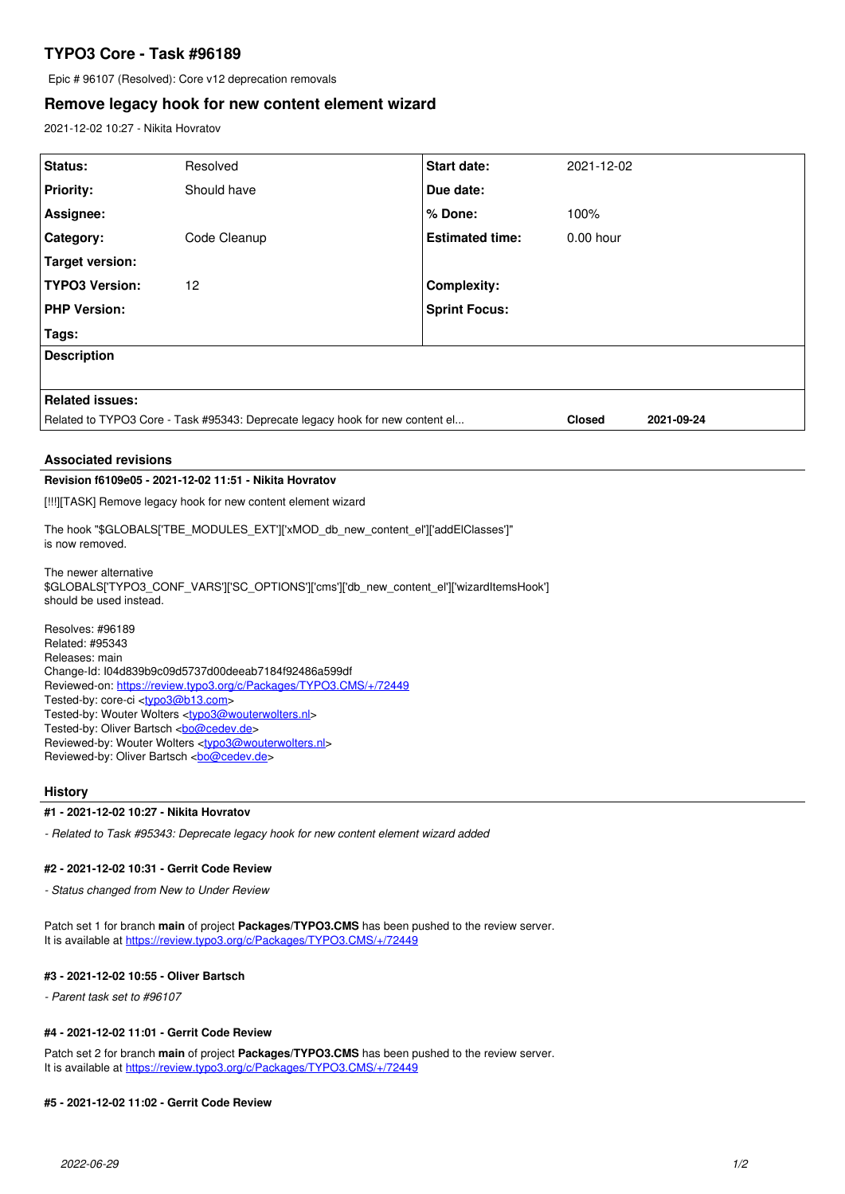# **TYPO3 Core - Task #96189**

Epic # 96107 (Resolved): Core v12 deprecation removals

## **Remove legacy hook for new content element wizard**

2021-12-02 10:27 - Nikita Hovratov

| Status:                                                                       | Resolved     | <b>Start date:</b>     | 2021-12-02    |            |
|-------------------------------------------------------------------------------|--------------|------------------------|---------------|------------|
| <b>Priority:</b>                                                              | Should have  | Due date:              |               |            |
| Assignee:                                                                     |              | % Done:                | 100%          |            |
| <b>Category:</b>                                                              | Code Cleanup | <b>Estimated time:</b> | $0.00$ hour   |            |
| Target version:                                                               |              |                        |               |            |
| <b>TYPO3 Version:</b>                                                         | 12           | <b>Complexity:</b>     |               |            |
| <b>PHP Version:</b>                                                           |              | <b>Sprint Focus:</b>   |               |            |
| Tags:                                                                         |              |                        |               |            |
| <b>Description</b>                                                            |              |                        |               |            |
|                                                                               |              |                        |               |            |
| <b>Related issues:</b>                                                        |              |                        |               |            |
| Related to TYPO3 Core - Task #95343: Deprecate legacy hook for new content el |              |                        | <b>Closed</b> | 2021-09-24 |

#### **Associated revisions**

## **Revision f6109e05 - 2021-12-02 11:51 - Nikita Hovratov**

[!!!][TASK] Remove legacy hook for new content element wizard

The hook "\$GLOBALS['TBE\_MODULES\_EXT']['xMOD\_db\_new\_content\_el']['addElClasses']" is now removed.

The newer alternative \$GLOBALS['TYPO3\_CONF\_VARS']['SC\_OPTIONS']['cms']['db\_new\_content\_el']['wizardItemsHook'] should be used instead.

Resolves: #96189 Related: #95343 Releases: main Change-Id: I04d839b9c09d5737d00deeab7184f92486a599df Reviewed-on:<https://review.typo3.org/c/Packages/TYPO3.CMS/+/72449> Tested-by: core-ci [<typo3@b13.com](mailto:typo3@b13.com)> Tested-by: Wouter Wolters [<typo3@wouterwolters.nl>](mailto:typo3@wouterwolters.nl) Tested-by: Oliver Bartsch <br/> <br/> <br/> <br/>Condevide> Reviewed-by: Wouter Wolters <[typo3@wouterwolters.nl](mailto:typo3@wouterwolters.nl)> Reviewed-by: Oliver Bartsch <br/> <br/> <br/> <br/> <br/> <br/> <br/> <br/> <br/> <br/> <br/> <br/> <br/> <br/><br/> $\label{eq:1}$ 

#### **History**

#### **#1 - 2021-12-02 10:27 - Nikita Hovratov**

*- Related to Task #95343: Deprecate legacy hook for new content element wizard added*

#### **#2 - 2021-12-02 10:31 - Gerrit Code Review**

*- Status changed from New to Under Review*

Patch set 1 for branch **main** of project **Packages/TYPO3.CMS** has been pushed to the review server. It is available at <https://review.typo3.org/c/Packages/TYPO3.CMS/+/72449>

### **#3 - 2021-12-02 10:55 - Oliver Bartsch**

*- Parent task set to #96107*

## **#4 - 2021-12-02 11:01 - Gerrit Code Review**

Patch set 2 for branch **main** of project **Packages/TYPO3.CMS** has been pushed to the review server. It is available at <https://review.typo3.org/c/Packages/TYPO3.CMS/+/72449>

#### **#5 - 2021-12-02 11:02 - Gerrit Code Review**